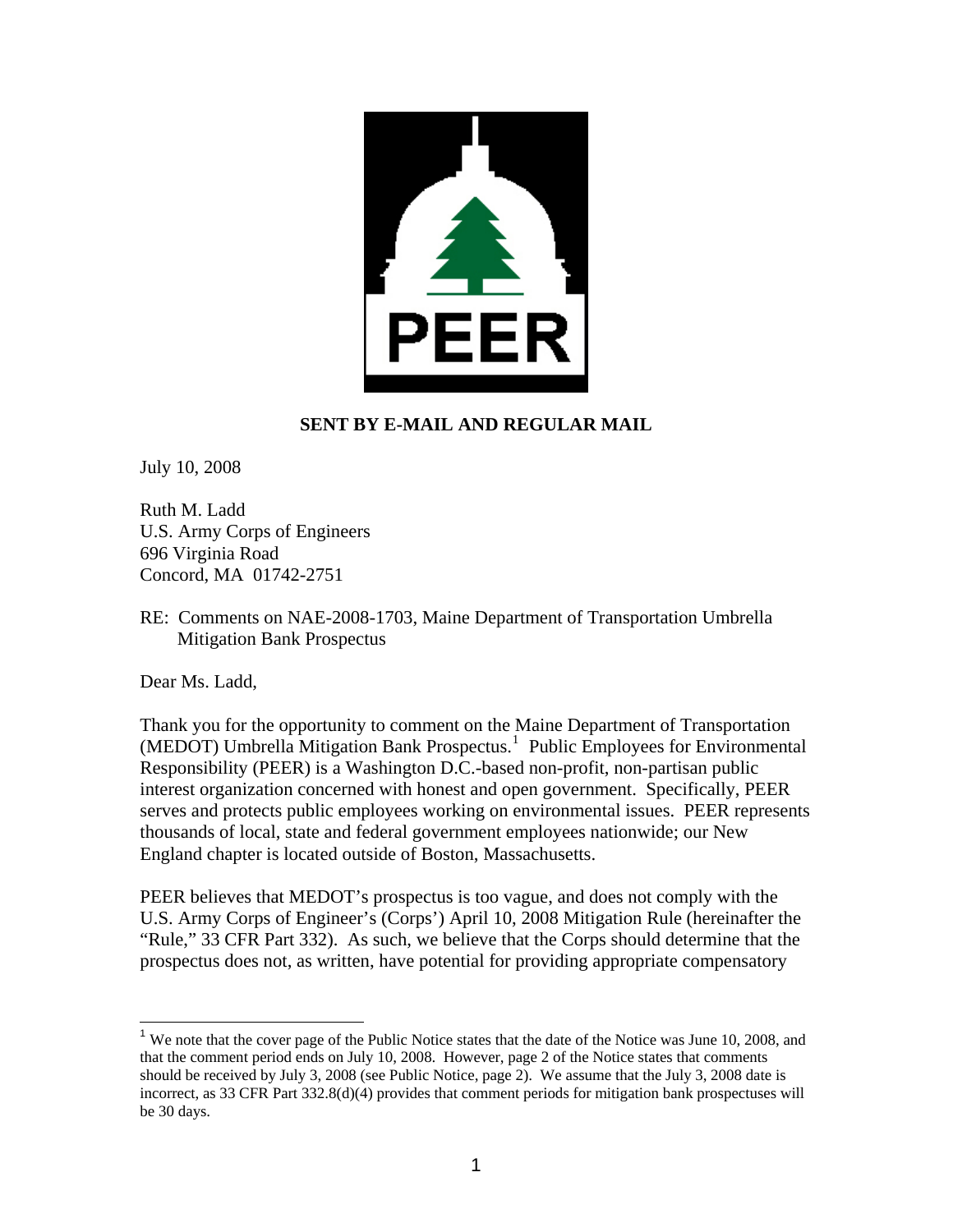

## **SENT BY E-MAIL AND REGULAR MAIL**

July 10, 2008

Ruth M. Ladd U.S. Army Corps of Engineers 696 Virginia Road Concord, MA 01742-2751

RE: Comments on NAE-2008-1703, Maine Department of Transportation Umbrella Mitigation Bank Prospectus

Dear Ms. Ladd,

 $\overline{a}$ 

Thank you for the opportunity to comment on the Maine Department of Transportation (MEDOT) Umbrella Mitigation Bank Prospectus.<sup>[1](#page-0-0)</sup> Public Employees for Environmental Responsibility (PEER) is a Washington D.C.-based non-profit, non-partisan public interest organization concerned with honest and open government. Specifically, PEER serves and protects public employees working on environmental issues. PEER represents thousands of local, state and federal government employees nationwide; our New England chapter is located outside of Boston, Massachusetts.

PEER believes that MEDOT's prospectus is too vague, and does not comply with the U.S. Army Corps of Engineer's (Corps') April 10, 2008 Mitigation Rule (hereinafter the "Rule," 33 CFR Part 332). As such, we believe that the Corps should determine that the prospectus does not, as written, have potential for providing appropriate compensatory

<span id="page-0-0"></span><sup>&</sup>lt;sup>1</sup> We note that the cover page of the Public Notice states that the date of the Notice was June 10, 2008, and that the comment period ends on July 10, 2008. However, page 2 of the Notice states that comments should be received by July 3, 2008 (see Public Notice, page 2). We assume that the July 3, 2008 date is incorrect, as 33 CFR Part 332.8(d)(4) provides that comment periods for mitigation bank prospectuses will be 30 days.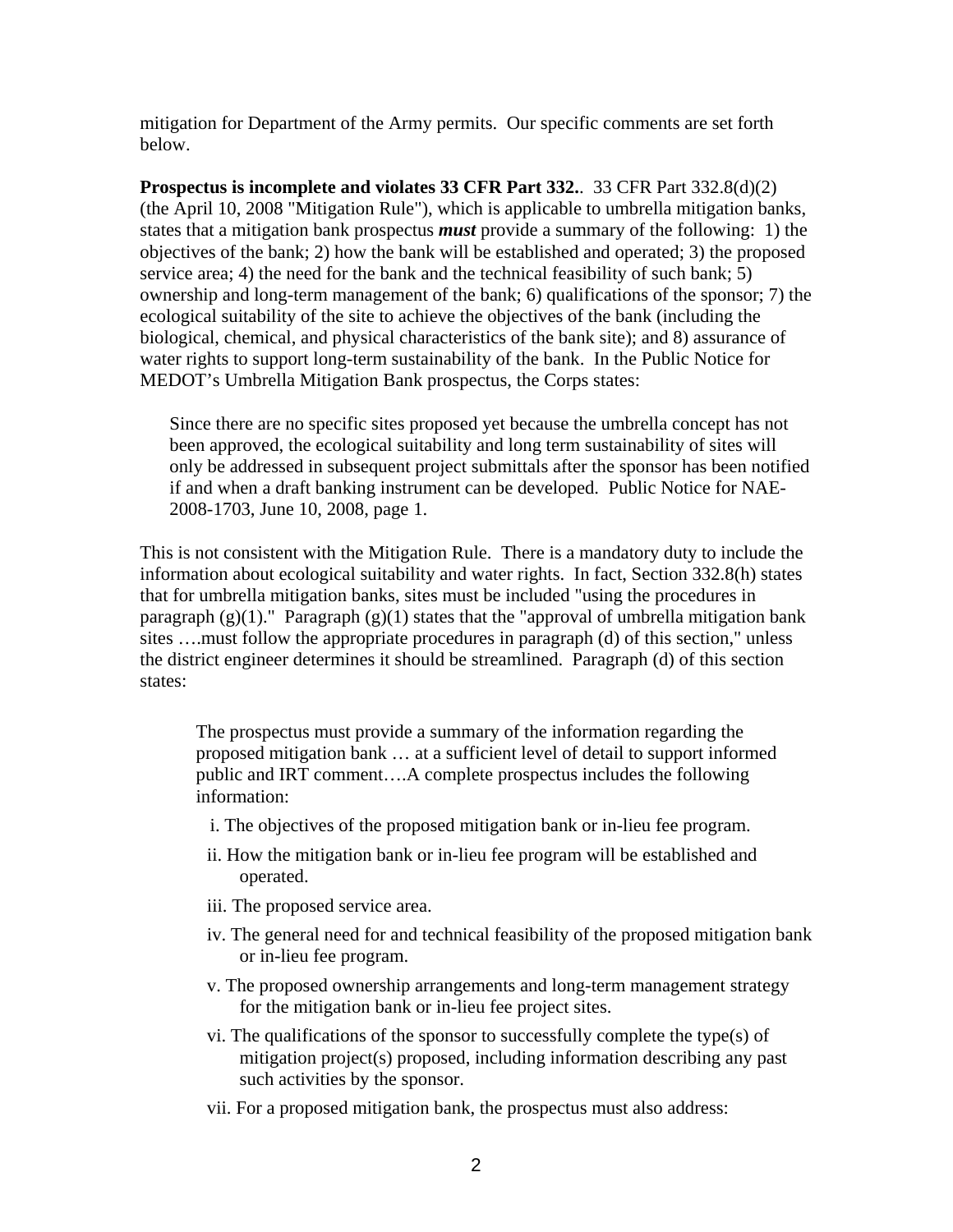mitigation for Department of the Army permits. Our specific comments are set forth below.

**Prospectus is incomplete and violates 33 CFR Part 332.**. 33 CFR Part 332.8(d)(2) (the April 10, 2008 "Mitigation Rule"), which is applicable to umbrella mitigation banks, states that a mitigation bank prospectus *must* provide a summary of the following: 1) the objectives of the bank; 2) how the bank will be established and operated; 3) the proposed service area; 4) the need for the bank and the technical feasibility of such bank; 5) ownership and long-term management of the bank; 6) qualifications of the sponsor; 7) the ecological suitability of the site to achieve the objectives of the bank (including the biological, chemical, and physical characteristics of the bank site); and 8) assurance of water rights to support long-term sustainability of the bank. In the Public Notice for MEDOT's Umbrella Mitigation Bank prospectus, the Corps states:

Since there are no specific sites proposed yet because the umbrella concept has not been approved, the ecological suitability and long term sustainability of sites will only be addressed in subsequent project submittals after the sponsor has been notified if and when a draft banking instrument can be developed. Public Notice for NAE-2008-1703, June 10, 2008, page 1.

This is not consistent with the Mitigation Rule. There is a mandatory duty to include the information about ecological suitability and water rights. In fact, Section 332.8(h) states that for umbrella mitigation banks, sites must be included "using the procedures in paragraph  $(g)(1)$ ." Paragraph  $(g)(1)$  states that the "approval of umbrella mitigation bank sites ….must follow the appropriate procedures in paragraph (d) of this section," unless the district engineer determines it should be streamlined. Paragraph (d) of this section states:

The prospectus must provide a summary of the information regarding the proposed mitigation bank … at a sufficient level of detail to support informed public and IRT comment….A complete prospectus includes the following information:

- i. The objectives of the proposed mitigation bank or in-lieu fee program.
- ii. How the mitigation bank or in-lieu fee program will be established and operated.
- iii. The proposed service area.
- iv. The general need for and technical feasibility of the proposed mitigation bank or in-lieu fee program.
- v. The proposed ownership arrangements and long-term management strategy for the mitigation bank or in-lieu fee project sites.
- vi. The qualifications of the sponsor to successfully complete the type(s) of mitigation project(s) proposed, including information describing any past such activities by the sponsor.
- vii. For a proposed mitigation bank, the prospectus must also address: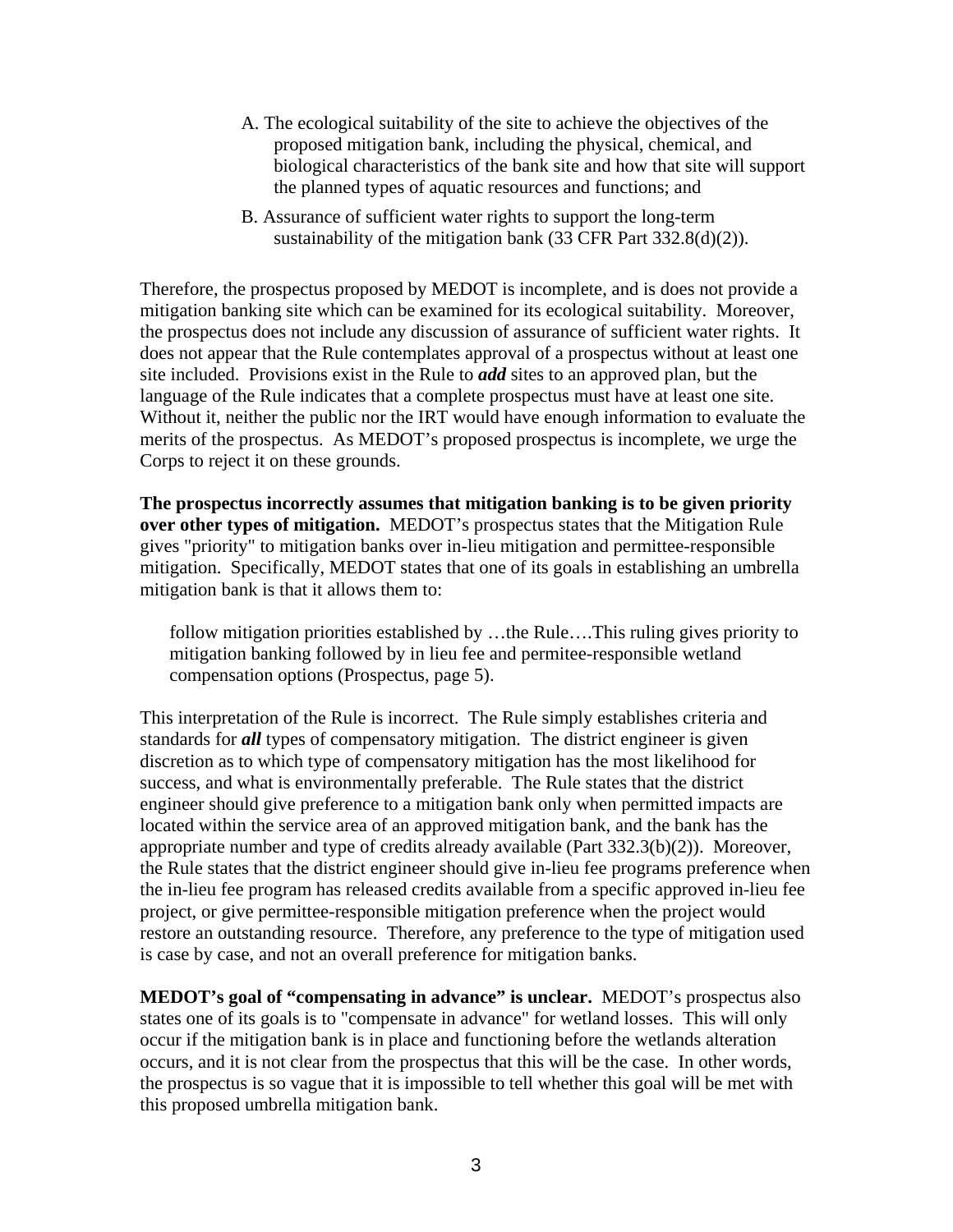- A. The ecological suitability of the site to achieve the objectives of the proposed mitigation bank, including the physical, chemical, and biological characteristics of the bank site and how that site will support the planned types of aquatic resources and functions; and
- B. Assurance of sufficient water rights to support the long-term sustainability of the mitigation bank (33 CFR Part 332.8(d)(2)).

Therefore, the prospectus proposed by MEDOT is incomplete, and is does not provide a mitigation banking site which can be examined for its ecological suitability. Moreover, the prospectus does not include any discussion of assurance of sufficient water rights. It does not appear that the Rule contemplates approval of a prospectus without at least one site included. Provisions exist in the Rule to *add* sites to an approved plan, but the language of the Rule indicates that a complete prospectus must have at least one site. Without it, neither the public nor the IRT would have enough information to evaluate the merits of the prospectus. As MEDOT's proposed prospectus is incomplete, we urge the Corps to reject it on these grounds.

**The prospectus incorrectly assumes that mitigation banking is to be given priority over other types of mitigation.** MEDOT's prospectus states that the Mitigation Rule gives "priority" to mitigation banks over in-lieu mitigation and permittee-responsible mitigation. Specifically, MEDOT states that one of its goals in establishing an umbrella mitigation bank is that it allows them to:

follow mitigation priorities established by …the Rule….This ruling gives priority to mitigation banking followed by in lieu fee and permitee-responsible wetland compensation options (Prospectus, page 5).

This interpretation of the Rule is incorrect. The Rule simply establishes criteria and standards for *all* types of compensatory mitigation. The district engineer is given discretion as to which type of compensatory mitigation has the most likelihood for success, and what is environmentally preferable. The Rule states that the district engineer should give preference to a mitigation bank only when permitted impacts are located within the service area of an approved mitigation bank, and the bank has the appropriate number and type of credits already available (Part 332.3(b)(2)). Moreover, the Rule states that the district engineer should give in-lieu fee programs preference when the in-lieu fee program has released credits available from a specific approved in-lieu fee project, or give permittee-responsible mitigation preference when the project would restore an outstanding resource. Therefore, any preference to the type of mitigation used is case by case, and not an overall preference for mitigation banks.

**MEDOT's goal of "compensating in advance" is unclear.** MEDOT's prospectus also states one of its goals is to "compensate in advance" for wetland losses. This will only occur if the mitigation bank is in place and functioning before the wetlands alteration occurs, and it is not clear from the prospectus that this will be the case. In other words, the prospectus is so vague that it is impossible to tell whether this goal will be met with this proposed umbrella mitigation bank.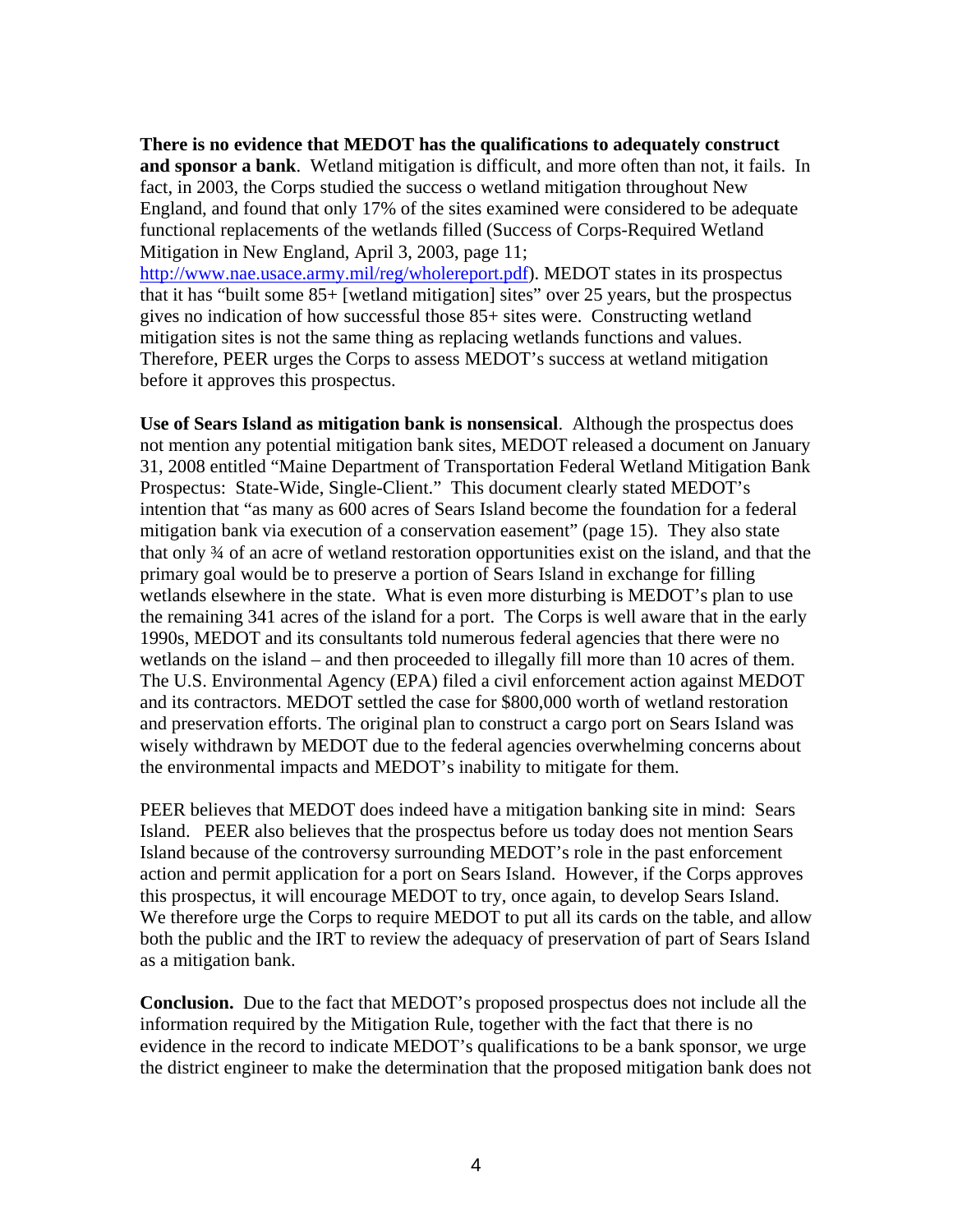**There is no evidence that MEDOT has the qualifications to adequately construct and sponsor a bank**. Wetland mitigation is difficult, and more often than not, it fails. In fact, in 2003, the Corps studied the success o wetland mitigation throughout New England, and found that only 17% of the sites examined were considered to be adequate functional replacements of the wetlands filled (Success of Corps-Required Wetland Mitigation in New England, April 3, 2003, page 11;

[http://www.nae.usace.army.mil/reg/wholereport.pdf\)](http://www.nae.usace.army.mil/reg/wholereport.pdf). MEDOT states in its prospectus that it has "built some 85+ [wetland mitigation] sites" over 25 years, but the prospectus gives no indication of how successful those 85+ sites were. Constructing wetland mitigation sites is not the same thing as replacing wetlands functions and values. Therefore, PEER urges the Corps to assess MEDOT's success at wetland mitigation before it approves this prospectus.

**Use of Sears Island as mitigation bank is nonsensical**. Although the prospectus does not mention any potential mitigation bank sites, MEDOT released a document on January 31, 2008 entitled "Maine Department of Transportation Federal Wetland Mitigation Bank Prospectus: State-Wide, Single-Client." This document clearly stated MEDOT's intention that "as many as 600 acres of Sears Island become the foundation for a federal mitigation bank via execution of a conservation easement" (page 15). They also state that only ¾ of an acre of wetland restoration opportunities exist on the island, and that the primary goal would be to preserve a portion of Sears Island in exchange for filling wetlands elsewhere in the state. What is even more disturbing is MEDOT's plan to use the remaining 341 acres of the island for a port. The Corps is well aware that in the early 1990s, MEDOT and its consultants told numerous federal agencies that there were no wetlands on the island – and then proceeded to illegally fill more than 10 acres of them. The U.S. Environmental Agency (EPA) filed a civil enforcement action against MEDOT and its contractors. MEDOT settled the case for \$800,000 worth of wetland restoration and preservation efforts. The original plan to construct a cargo port on Sears Island was wisely withdrawn by MEDOT due to the federal agencies overwhelming concerns about the environmental impacts and MEDOT's inability to mitigate for them.

PEER believes that MEDOT does indeed have a mitigation banking site in mind: Sears Island. PEER also believes that the prospectus before us today does not mention Sears Island because of the controversy surrounding MEDOT's role in the past enforcement action and permit application for a port on Sears Island. However, if the Corps approves this prospectus, it will encourage MEDOT to try, once again, to develop Sears Island. We therefore urge the Corps to require MEDOT to put all its cards on the table, and allow both the public and the IRT to review the adequacy of preservation of part of Sears Island as a mitigation bank.

**Conclusion.** Due to the fact that MEDOT's proposed prospectus does not include all the information required by the Mitigation Rule, together with the fact that there is no evidence in the record to indicate MEDOT's qualifications to be a bank sponsor, we urge the district engineer to make the determination that the proposed mitigation bank does not